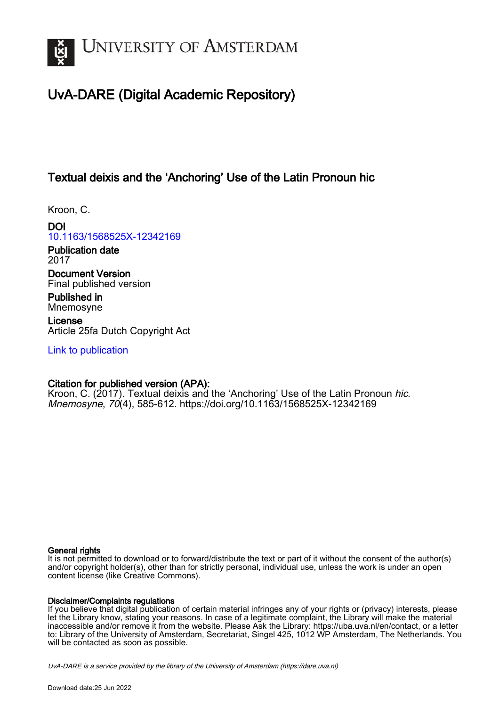

# UvA-DARE (Digital Academic Repository)

## Textual deixis and the 'Anchoring' Use of the Latin Pronoun hic

Kroon, C.

DOI [10.1163/1568525X-12342169](https://doi.org/10.1163/1568525X-12342169)

Publication date 2017

Document Version Final published version

Published in Mnemosyne

License Article 25fa Dutch Copyright Act

[Link to publication](https://dare.uva.nl/personal/pure/en/publications/textual-deixis-and-the-anchoring-use-of-the-latin-pronoun-hic(612a89b7-7c62-426d-a531-507e2605e7aa).html)

## Citation for published version (APA):

Kroon, C. (2017). Textual deixis and the 'Anchoring' Use of the Latin Pronoun hic. Mnemosyne, 70(4), 585-612.<https://doi.org/10.1163/1568525X-12342169>

### General rights

It is not permitted to download or to forward/distribute the text or part of it without the consent of the author(s) and/or copyright holder(s), other than for strictly personal, individual use, unless the work is under an open content license (like Creative Commons).

## Disclaimer/Complaints regulations

If you believe that digital publication of certain material infringes any of your rights or (privacy) interests, please let the Library know, stating your reasons. In case of a legitimate complaint, the Library will make the material inaccessible and/or remove it from the website. Please Ask the Library: https://uba.uva.nl/en/contact, or a letter to: Library of the University of Amsterdam, Secretariat, Singel 425, 1012 WP Amsterdam, The Netherlands. You will be contacted as soon as possible.

UvA-DARE is a service provided by the library of the University of Amsterdam (http*s*://dare.uva.nl)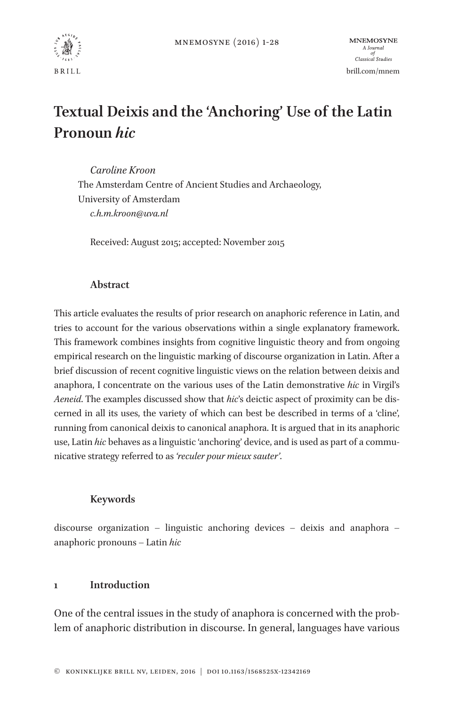

## **Textual Deixis and the 'Anchoring' Use of the Latin Pronoun** *hic*

*Caroline Kroon*

The Amsterdam Centre of Ancient Studies and Archaeology, University of Amsterdam *c.h.m.kroon@uva.nl*

Received: August 2015; accepted: November 2015

### **Abstract**

This article evaluates the results of prior research on anaphoric reference in Latin, and tries to account for the various observations within a single explanatory framework. This framework combines insights from cognitive linguistic theory and from ongoing empirical research on the linguistic marking of discourse organization in Latin. After a brief discussion of recent cognitive linguistic views on the relation between deixis and anaphora, I concentrate on the various uses of the Latin demonstrative *hic* in Virgil's *Aeneid*. The examples discussed show that *hic*'s deictic aspect of proximity can be discerned in all its uses, the variety of which can best be described in terms of a 'cline', running from canonical deixis to canonical anaphora. It is argued that in its anaphoric use, Latin *hic* behaves as a linguistic 'anchoring' device, and is used as part of a communicative strategy referred to as *'reculer pour mieux sauter'*.

## **Keywords**

discourse organization – linguistic anchoring devices – deixis and anaphora – anaphoric pronouns – Latin *hic*

#### **1 Introduction**

One of the central issues in the study of anaphora is concerned with the problem of anaphoric distribution in discourse. In general, languages have various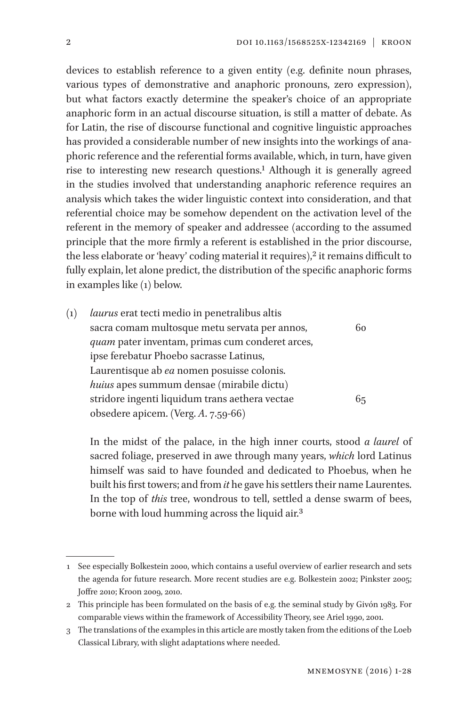devices to establish reference to a given entity (e.g. definite noun phrases, various types of demonstrative and anaphoric pronouns, zero expression), but what factors exactly determine the speaker's choice of an appropriate anaphoric form in an actual discourse situation, is still a matter of debate. As for Latin, the rise of discourse functional and cognitive linguistic approaches has provided a considerable number of new insights into the workings of anaphoric reference and the referential forms available, which, in turn, have given rise to interesting new research questions.1 Although it is generally agreed in the studies involved that understanding anaphoric reference requires an analysis which takes the wider linguistic context into consideration, and that referential choice may be somehow dependent on the activation level of the referent in the memory of speaker and addressee (according to the assumed principle that the more firmly a referent is established in the prior discourse, the less elaborate or 'heavy' coding material it requires), $2$  it remains difficult to fully explain, let alone predict, the distribution of the specific anaphoric forms in examples like (1) below.

| (1) | laurus erat tecti medio in penetralibus altis   |    |
|-----|-------------------------------------------------|----|
|     | sacra comam multosque metu servata per annos,   | 60 |
|     | quam pater inventam, primas cum conderet arces, |    |
|     | ipse ferebatur Phoebo sacrasse Latinus,         |    |
|     | Laurentisque ab ea nomen posuisse colonis.      |    |
|     | huius apes summum densae (mirabile dictu)       |    |
|     | stridore ingenti liquidum trans aethera vectae  | 65 |
|     | obsedere apicem. (Verg. A. 7.59-66)             |    |
|     |                                                 |    |

In the midst of the palace, in the high inner courts, stood *a laurel* of sacred foliage, preserved in awe through many years, *which* lord Latinus himself was said to have founded and dedicated to Phoebus, when he built his first towers; and from *it* he gave his settlers their name Laurentes. In the top of *this* tree, wondrous to tell, settled a dense swarm of bees, borne with loud humming across the liquid air.3

<sup>1</sup> See especially Bolkestein 2000, which contains a useful overview of earlier research and sets the agenda for future research. More recent studies are e.g. Bolkestein 2002; Pinkster 2005; Joffre 2010; Kroon 2009, 2010.

<sup>2</sup> This principle has been formulated on the basis of e.g. the seminal study by Givón 1983. For comparable views within the framework of Accessibility Theory, see Ariel 1990, 2001.

<sup>3</sup> The translations of the examples in this article are mostly taken from the editions of the Loeb Classical Library, with slight adaptations where needed.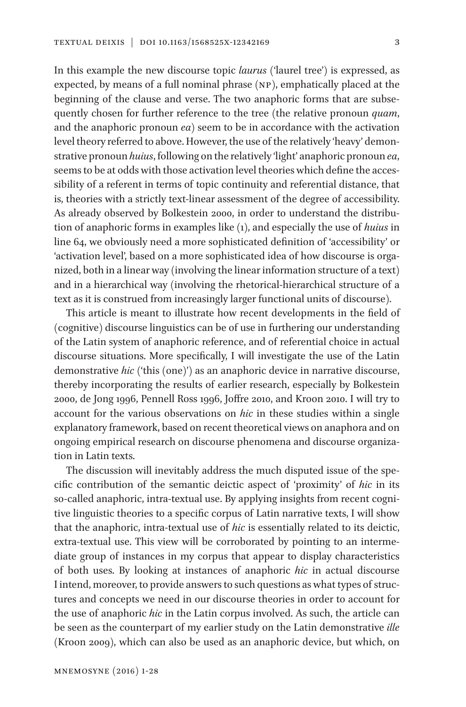In this example the new discourse topic *laurus* ('laurel tree') is expressed, as expected, by means of a full nominal phrase (NP), emphatically placed at the beginning of the clause and verse. The two anaphoric forms that are subsequently chosen for further reference to the tree (the relative pronoun *quam*, and the anaphoric pronoun *ea*) seem to be in accordance with the activation level theory referred to above. However, the use of the relatively 'heavy' demonstrative pronoun *huius*, following on the relatively 'light' anaphoric pronoun *ea*, seems to be at odds with those activation level theories which define the accessibility of a referent in terms of topic continuity and referential distance, that is, theories with a strictly text-linear assessment of the degree of accessibility. As already observed by Bolkestein 2000, in order to understand the distribution of anaphoric forms in examples like (1), and especially the use of *huius* in line 64, we obviously need a more sophisticated definition of 'accessibility' or 'activation level', based on a more sophisticated idea of how discourse is organized, both in a linear way (involving the linear information structure of a text) and in a hierarchical way (involving the rhetorical-hierarchical structure of a text as it is construed from increasingly larger functional units of discourse).

This article is meant to illustrate how recent developments in the field of (cognitive) discourse linguistics can be of use in furthering our understanding of the Latin system of anaphoric reference, and of referential choice in actual discourse situations. More specifically, I will investigate the use of the Latin demonstrative *hic* ('this (one)') as an anaphoric device in narrative discourse, thereby incorporating the results of earlier research, especially by Bolkestein 2000, de Jong 1996, Pennell Ross 1996, Joffre 2010, and Kroon 2010. I will try to account for the various observations on *hic* in these studies within a single explanatory framework, based on recent theoretical views on anaphora and on ongoing empirical research on discourse phenomena and discourse organization in Latin texts.

The discussion will inevitably address the much disputed issue of the specific contribution of the semantic deictic aspect of 'proximity' of *hic* in its so-called anaphoric, intra-textual use. By applying insights from recent cognitive linguistic theories to a specific corpus of Latin narrative texts, I will show that the anaphoric, intra-textual use of *hic* is essentially related to its deictic, extra-textual use. This view will be corroborated by pointing to an intermediate group of instances in my corpus that appear to display characteristics of both uses. By looking at instances of anaphoric *hic* in actual discourse I intend, moreover, to provide answers to such questions as what types of structures and concepts we need in our discourse theories in order to account for the use of anaphoric *hic* in the Latin corpus involved. As such, the article can be seen as the counterpart of my earlier study on the Latin demonstrative *ille* (Kroon 2009), which can also be used as an anaphoric device, but which, on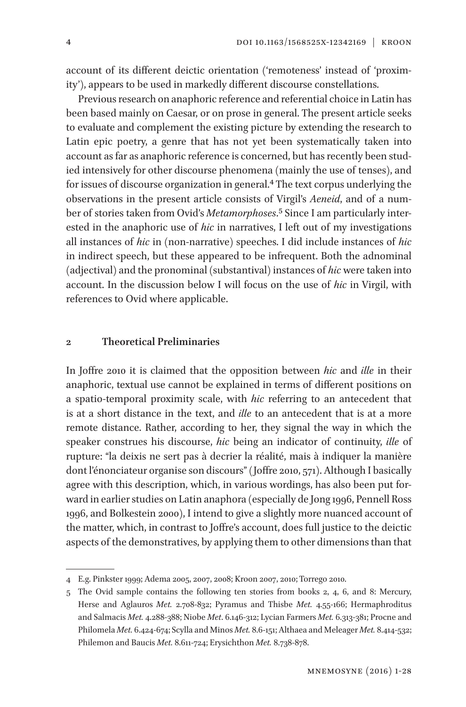account of its different deictic orientation ('remoteness' instead of 'proximity'), appears to be used in markedly different discourse constellations.

Previous research on anaphoric reference and referential choice in Latin has been based mainly on Caesar, or on prose in general. The present article seeks to evaluate and complement the existing picture by extending the research to Latin epic poetry, a genre that has not yet been systematically taken into account as far as anaphoric reference is concerned, but has recently been studied intensively for other discourse phenomena (mainly the use of tenses), and for issues of discourse organization in general.<sup>4</sup> The text corpus underlying the observations in the present article consists of Virgil's *Aeneid*, and of a number of stories taken from Ovid's *Metamorphoses*.5 Since I am particularly interested in the anaphoric use of *hic* in narratives, I left out of my investigations all instances of *hic* in (non-narrative) speeches. I did include instances of *hic* in indirect speech, but these appeared to be infrequent. Both the adnominal (adjectival) and the pronominal (substantival) instances of *hic* were taken into account. In the discussion below I will focus on the use of *hic* in Virgil, with references to Ovid where applicable.

#### **2 Theoretical Preliminaries**

In Joffre 2010 it is claimed that the opposition between *hic* and *ille* in their anaphoric, textual use cannot be explained in terms of different positions on a spatio-temporal proximity scale, with *hic* referring to an antecedent that is at a short distance in the text, and *ille* to an antecedent that is at a more remote distance. Rather, according to her, they signal the way in which the speaker construes his discourse, *hic* being an indicator of continuity, *ille* of rupture: "la deixis ne sert pas à decrier la réalité, mais à indiquer la manière dont l'énonciateur organise son discours" (Joffre 2010, 571). Although I basically agree with this description, which, in various wordings, has also been put forward in earlier studies on Latin anaphora (especially de Jong 1996, Pennell Ross 1996, and Bolkestein 2000), I intend to give a slightly more nuanced account of the matter, which, in contrast to Joffre's account, does full justice to the deictic aspects of the demonstratives, by applying them to other dimensions than that

<sup>4</sup> E.g. Pinkster 1999; Adema 2005, 2007, 2008; Kroon 2007, 2010; Torrego 2010.

<sup>5</sup> The Ovid sample contains the following ten stories from books 2, 4, 6, and 8: Mercury, Herse and Aglauros *Met.* 2.708-832; Pyramus and Thisbe *Met.* 4.55-166; Hermaphroditus and Salmacis *Met.* 4.288-388; Niobe *Met*. 6.146-312; Lycian Farmers *Met.* 6.313-381; Procne and Philomela *Met.* 6.424-674; Scylla and Minos *Met.* 8.6-151; Althaea and Meleager *Met.* 8.414-532; Philemon and Baucis *Met.* 8.611-724; Erysichthon *Met.* 8.738-878.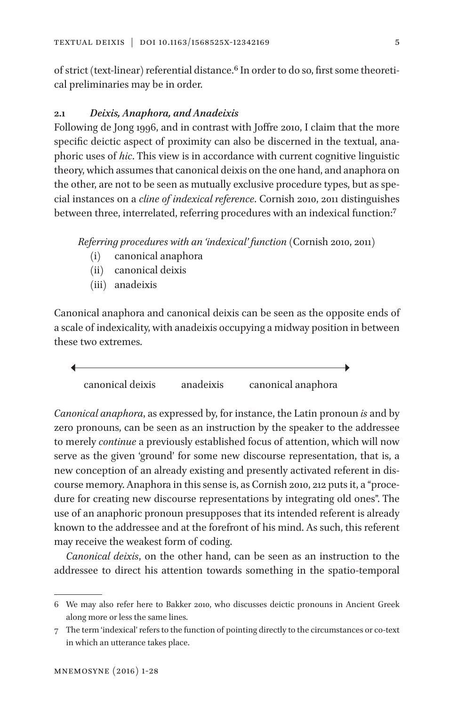of strict (text-linear) referential distance.<sup>6</sup> In order to do so, first some theoretical preliminaries may be in order.

#### **2.1** *Deixis, Anaphora, and Anadeixis*

Following de Jong 1996, and in contrast with Joffre 2010, I claim that the more specific deictic aspect of proximity can also be discerned in the textual, anaphoric uses of *hic*. This view is in accordance with current cognitive linguistic theory, which assumes that canonical deixis on the one hand, and anaphora on the other, are not to be seen as mutually exclusive procedure types, but as special instances on a *cline of indexical reference*. Cornish 2010, 2011 distinguishes between three, interrelated, referring procedures with an indexical function:<sup>7</sup>

*Referring procedures with an 'indexical' function* (Cornish 2010, 2011)

- (i) canonical anaphora
- (ii) canonical deixis
- (iii) anadeixis

Canonical anaphora and canonical deixis can be seen as the opposite ends of a scale of indexicality, with anadeixis occupying a midway position in between these two extremes.

canonical deixis anadeixis canonical anaphora

*Canonical anaphora*, as expressed by, for instance, the Latin pronoun *is* and by zero pronouns, can be seen as an instruction by the speaker to the addressee to merely *continue* a previously established focus of attention, which will now serve as the given 'ground' for some new discourse representation, that is, a new conception of an already existing and presently activated referent in discourse memory. Anaphora in this sense is, as Cornish 2010, 212 puts it, a "procedure for creating new discourse representations by integrating old ones". The use of an anaphoric pronoun presupposes that its intended referent is already known to the addressee and at the forefront of his mind. As such, this referent may receive the weakest form of coding.

*Canonical deixis*, on the other hand, can be seen as an instruction to the addressee to direct his attention towards something in the spatio-temporal

<sup>6</sup> We may also refer here to Bakker 2010, who discusses deictic pronouns in Ancient Greek along more or less the same lines.

<sup>7</sup> The term 'indexical' refers to the function of pointing directly to the circumstances or co-text in which an utterance takes place.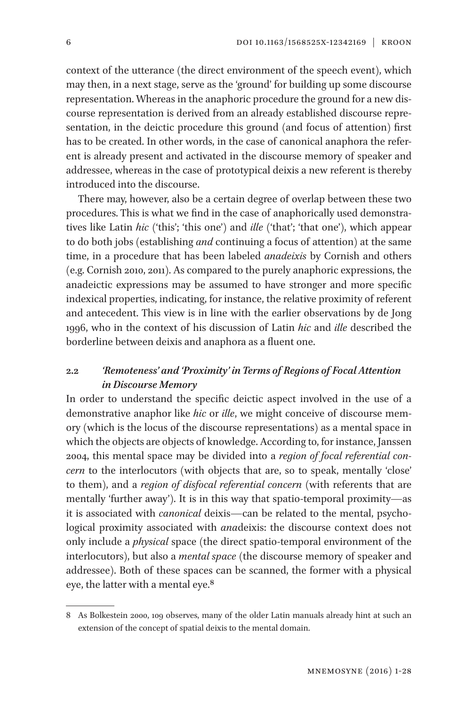context of the utterance (the direct environment of the speech event), which may then, in a next stage, serve as the 'ground' for building up some discourse representation. Whereas in the anaphoric procedure the ground for a new discourse representation is derived from an already established discourse representation, in the deictic procedure this ground (and focus of attention) first has to be created. In other words, in the case of canonical anaphora the referent is already present and activated in the discourse memory of speaker and addressee, whereas in the case of prototypical deixis a new referent is thereby introduced into the discourse.

There may, however, also be a certain degree of overlap between these two procedures. This is what we find in the case of anaphorically used demonstratives like Latin *hic* ('this'; 'this one') and *ille* ('that'; 'that one'), which appear to do both jobs (establishing *and* continuing a focus of attention) at the same time, in a procedure that has been labeled *anadeixis* by Cornish and others (e.g. Cornish 2010, 2011). As compared to the purely anaphoric expressions, the anadeictic expressions may be assumed to have stronger and more specific indexical properties, indicating, for instance, the relative proximity of referent and antecedent. This view is in line with the earlier observations by de Jong 1996, who in the context of his discussion of Latin *hic* and *ille* described the borderline between deixis and anaphora as a fluent one.

## **2.2** *'Remoteness' and 'Proximity' in Terms of Regions of Focal Attention in Discourse Memory*

In order to understand the specific deictic aspect involved in the use of a demonstrative anaphor like *hic* or *ille*, we might conceive of discourse memory (which is the locus of the discourse representations) as a mental space in which the objects are objects of knowledge. According to, for instance, Janssen 2004, this mental space may be divided into a *region of focal referential concern* to the interlocutors (with objects that are, so to speak, mentally 'close' to them), and a *region of disfocal referential concern* (with referents that are mentally 'further away'). It is in this way that spatio-temporal proximity—as it is associated with *canonical* deixis—can be related to the mental, psychological proximity associated with *ana*deixis: the discourse context does not only include a *physical* space (the direct spatio-temporal environment of the interlocutors), but also a *mental space* (the discourse memory of speaker and addressee). Both of these spaces can be scanned, the former with a physical eye, the latter with a mental eye.<sup>8</sup>

<sup>8</sup> As Bolkestein 2000, 109 observes, many of the older Latin manuals already hint at such an extension of the concept of spatial deixis to the mental domain.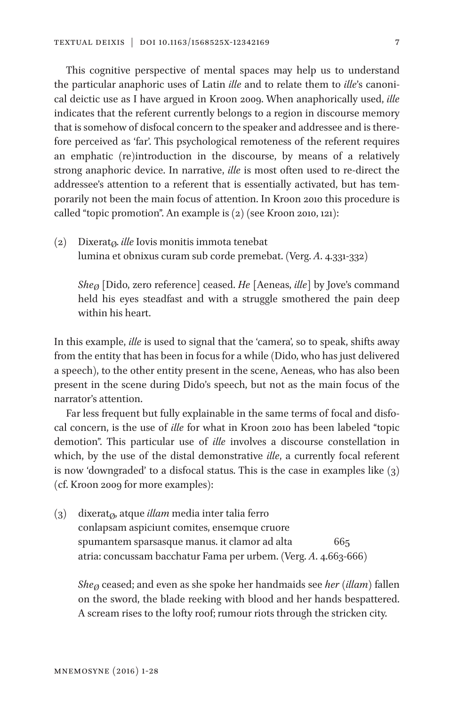This cognitive perspective of mental spaces may help us to understand the particular anaphoric uses of Latin *ille* and to relate them to *ille*'s canonical deictic use as I have argued in Kroon 2009. When anaphorically used, *ille* indicates that the referent currently belongs to a region in discourse memory that is somehow of disfocal concern to the speaker and addressee and is therefore perceived as 'far'. This psychological remoteness of the referent requires an emphatic (re)introduction in the discourse, by means of a relatively strong anaphoric device. In narrative, *ille* is most often used to re-direct the addressee's attention to a referent that is essentially activated, but has temporarily not been the main focus of attention. In Kroon 2010 this procedure is called "topic promotion". An example is (2) (see Kroon 2010, 121):

(2) Dixerat<sub> $\varphi$ </sub>, *ille* Iovis monitis immota tenebat lumina et obnixus curam sub corde premebat. (Verg. *A*. 4.331-332)

*She*<sub>Ø</sub> [Dido, zero reference] ceased. *He* [Aeneas, *ille*] by Jove's command held his eyes steadfast and with a struggle smothered the pain deep within his heart.

In this example, *ille* is used to signal that the 'camera', so to speak, shifts away from the entity that has been in focus for a while (Dido, who has just delivered a speech), to the other entity present in the scene, Aeneas, who has also been present in the scene during Dido's speech, but not as the main focus of the narrator's attention.

Far less frequent but fully explainable in the same terms of focal and disfocal concern, is the use of *ille* for what in Kroon 2010 has been labeled "topic demotion". This particular use of *ille* involves a discourse constellation in which, by the use of the distal demonstrative *ille*, a currently focal referent is now 'downgraded' to a disfocal status. This is the case in examples like (3) (cf. Kroon 2009 for more examples):

 $(3)$  dixerat<sub> $\varnothing$ </sub>, atque *illam* media inter talia ferro conlapsam aspiciunt comites, ensemque cruore spumantem sparsasque manus. it clamor ad alta 665 atria: concussam bacchatur Fama per urbem. (Verg. *A*. 4.663-666)

*SheØ* ceased; and even as she spoke her handmaids see *her* (*illam*) fallen on the sword, the blade reeking with blood and her hands bespattered. A scream rises to the lofty roof; rumour riots through the stricken city.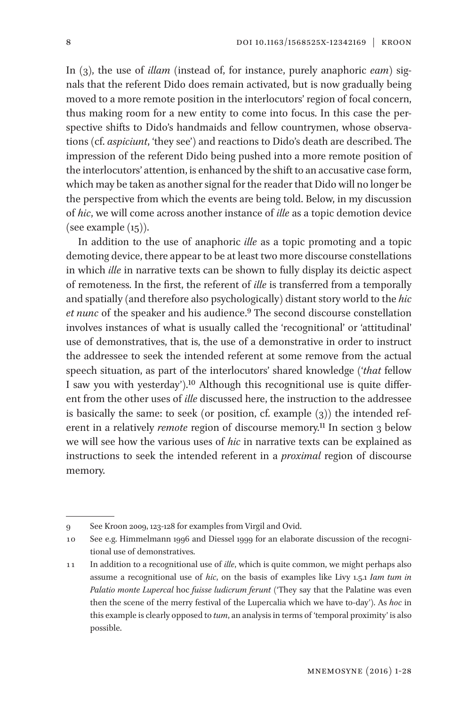In (3), the use of *illam* (instead of, for instance, purely anaphoric *eam*) signals that the referent Dido does remain activated, but is now gradually being moved to a more remote position in the interlocutors' region of focal concern, thus making room for a new entity to come into focus. In this case the perspective shifts to Dido's handmaids and fellow countrymen, whose observations (cf. *aspiciunt*, 'they see') and reactions to Dido's death are described. The impression of the referent Dido being pushed into a more remote position of the interlocutors' attention, is enhanced by the shift to an accusative case form, which may be taken as another signal for the reader that Dido will no longer be the perspective from which the events are being told. Below, in my discussion of *hic*, we will come across another instance of *ille* as a topic demotion device (see example  $(15)$ ).

In addition to the use of anaphoric *ille* as a topic promoting and a topic demoting device, there appear to be at least two more discourse constellations in which *ille* in narrative texts can be shown to fully display its deictic aspect of remoteness. In the first, the referent of *ille* is transferred from a temporally and spatially (and therefore also psychologically) distant story world to the *hic*  et nunc of the speaker and his audience.<sup>9</sup> The second discourse constellation involves instances of what is usually called the 'recognitional' or 'attitudinal' use of demonstratives, that is, the use of a demonstrative in order to instruct the addressee to seek the intended referent at some remove from the actual speech situation, as part of the interlocutors' shared knowledge ('*that* fellow I saw you with yesterday').10 Although this recognitional use is quite different from the other uses of *ille* discussed here, the instruction to the addressee is basically the same: to seek (or position, cf. example (3)) the intended referent in a relatively *remote* region of discourse memory.<sup>11</sup> In section 3 below we will see how the various uses of *hic* in narrative texts can be explained as instructions to seek the intended referent in a *proximal* region of discourse memory.

<sup>9</sup> See Kroon 2009, 123-128 for examples from Virgil and Ovid.

<sup>10</sup> See e.g. Himmelmann 1996 and Diessel 1999 for an elaborate discussion of the recognitional use of demonstratives.

<sup>11</sup> In addition to a recognitional use of *ille*, which is quite common, we might perhaps also assume a recognitional use of *hic*, on the basis of examples like Livy 1.5.1 *Iam tum in Palatio monte Lupercal* hoc *fuisse ludicrum ferunt* ('They say that the Palatine was even then the scene of the merry festival of the Lupercalia which we have to-day'). As *hoc* in this example is clearly opposed to *tum*, an analysis in terms of 'temporal proximity' is also possible.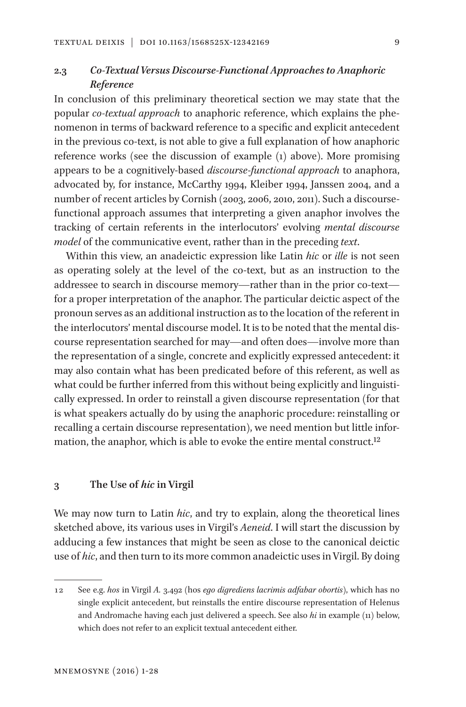## **2.3** *Co-Textual Versus Discourse-Functional Approaches to Anaphoric Reference*

In conclusion of this preliminary theoretical section we may state that the popular *co-textual approach* to anaphoric reference, which explains the phenomenon in terms of backward reference to a specific and explicit antecedent in the previous co-text, is not able to give a full explanation of how anaphoric reference works (see the discussion of example (1) above). More promising appears to be a cognitively-based *discourse-functional approach* to anaphora, advocated by, for instance, McCarthy 1994, Kleiber 1994, Janssen 2004, and a number of recent articles by Cornish (2003, 2006, 2010, 2011). Such a discoursefunctional approach assumes that interpreting a given anaphor involves the tracking of certain referents in the interlocutors' evolving *mental discourse model* of the communicative event, rather than in the preceding *text*.

Within this view, an anadeictic expression like Latin *hic* or *ille* is not seen as operating solely at the level of the co-text, but as an instruction to the addressee to search in discourse memory—rather than in the prior co-text for a proper interpretation of the anaphor. The particular deictic aspect of the pronoun serves as an additional instruction as to the location of the referent in the interlocutors' mental discourse model. It is to be noted that the mental discourse representation searched for may—and often does—involve more than the representation of a single, concrete and explicitly expressed antecedent: it may also contain what has been predicated before of this referent, as well as what could be further inferred from this without being explicitly and linguistically expressed. In order to reinstall a given discourse representation (for that is what speakers actually do by using the anaphoric procedure: reinstalling or recalling a certain discourse representation), we need mention but little information, the anaphor, which is able to evoke the entire mental construct.<sup>12</sup>

#### **3 The Use of** *hic* **in Virgil**

We may now turn to Latin *hic*, and try to explain, along the theoretical lines sketched above, its various uses in Virgil's *Aeneid*. I will start the discussion by adducing a few instances that might be seen as close to the canonical deictic use of *hic*, and then turn to its more common anadeictic uses in Virgil. By doing

<sup>12</sup> See e.g. *hos* in Virgil *A.* 3.492 (hos *ego digrediens lacrimis adfabar obortis*), which has no single explicit antecedent, but reinstalls the entire discourse representation of Helenus and Andromache having each just delivered a speech. See also *hi* in example (11) below, which does not refer to an explicit textual antecedent either.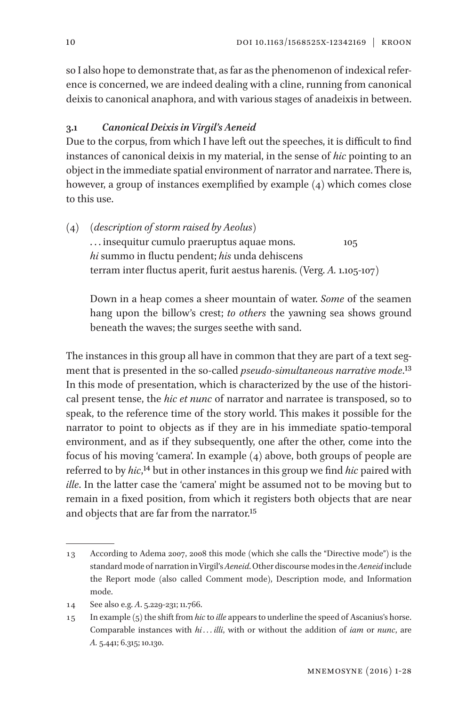so I also hope to demonstrate that, as far as the phenomenon of indexical reference is concerned, we are indeed dealing with a cline, running from canonical deixis to canonical anaphora, and with various stages of anadeixis in between.

## **3.1** *Canonical Deixis in Virgil's Aeneid*

Due to the corpus, from which I have left out the speeches, it is difficult to find instances of canonical deixis in my material, in the sense of *hic* pointing to an object in the immediate spatial environment of narrator and narratee. There is, however, a group of instances exemplified by example (4) which comes close to this use.

(4) (*description of storm raised by Aeolus*) . . . insequitur cumulo praeruptus aquae mons. 105 *hi* summo in fluctu pendent; *his* unda dehiscens terram inter fluctus aperit, furit aestus harenis. (Verg. *A.* 1.105-107)

Down in a heap comes a sheer mountain of water. *Some* of the seamen hang upon the billow's crest; *to others* the yawning sea shows ground beneath the waves; the surges seethe with sand.

The instances in this group all have in common that they are part of a text segment that is presented in the so-called *pseudo-simultaneous narrative mode*.13 In this mode of presentation, which is characterized by the use of the historical present tense, the *hic et nunc* of narrator and narratee is transposed, so to speak, to the reference time of the story world. This makes it possible for the narrator to point to objects as if they are in his immediate spatio-temporal environment, and as if they subsequently, one after the other, come into the focus of his moving 'camera'. In example (4) above, both groups of people are referred to by *hic*,14 but in other instances in this group we find *hic* paired with *ille*. In the latter case the 'camera' might be assumed not to be moving but to remain in a fixed position, from which it registers both objects that are near and objects that are far from the narrator.<sup>15</sup>

<sup>13</sup> According to Adema 2007, 2008 this mode (which she calls the "Directive mode") is the standard mode of narration in Virgil's *Aeneid*.Other discourse modes in the *Aeneid* include the Report mode (also called Comment mode), Description mode, and Information mode.

<sup>14</sup> See also e.g. *A*. 5.229-231; 11.766.

<sup>15</sup> In example (5) the shift from *hic* to *ille* appears to underline the speed of Ascanius's horse. Comparable instances with *hi . . . illi*, with or without the addition of *iam* or *nunc*, are *A.* 5.441; 6.315; 10.130.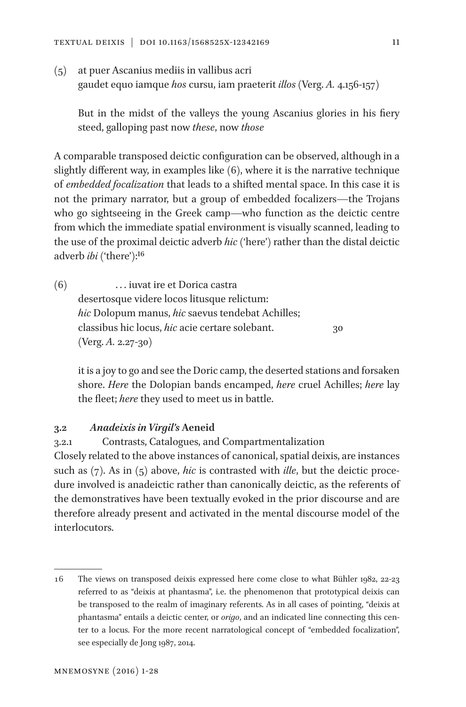(5) at puer Ascanius mediis in vallibus acri gaudet equo iamque *hos* cursu, iam praeterit *illos* (Verg. *A.* 4.156-157)

But in the midst of the valleys the young Ascanius glories in his fiery steed, galloping past now *these*, now *those*

A comparable transposed deictic configuration can be observed, although in a slightly different way, in examples like (6), where it is the narrative technique of *embedded focalization* that leads to a shifted mental space. In this case it is not the primary narrator, but a group of embedded focalizers—the Trojans who go sightseeing in the Greek camp—who function as the deictic centre from which the immediate spatial environment is visually scanned, leading to the use of the proximal deictic adverb *hic* ('here') rather than the distal deictic adverb *ibi* ('there'):16

(6) . . . iuvat ire et Dorica castra desertosque videre locos litusque relictum: *hic* Dolopum manus, *hic* saevus tendebat Achilles; classibus hic locus, *hic* acie certare solebant. 30 (Verg. *A.* 2.27-30)

it is a joy to go and see the Doric camp, the deserted stations and forsaken shore. *Here* the Dolopian bands encamped, *here* cruel Achilles; *here* lay the fleet; *here* they used to meet us in battle.

#### **3.2** *Anadeixis in Virgil's* **Aeneid**

3.2.1 Contrasts, Catalogues, and Compartmentalization Closely related to the above instances of canonical, spatial deixis, are instances such as (7). As in (5) above, *hic* is contrasted with *ille*, but the deictic procedure involved is anadeictic rather than canonically deictic, as the referents of the demonstratives have been textually evoked in the prior discourse and are therefore already present and activated in the mental discourse model of the interlocutors.

<sup>16</sup> The views on transposed deixis expressed here come close to what Bühler 1982, 22-23 referred to as "deixis at phantasma", i.e. the phenomenon that prototypical deixis can be transposed to the realm of imaginary referents. As in all cases of pointing, "deixis at phantasma" entails a deictic center, or *origo*, and an indicated line connecting this center to a locus. For the more recent narratological concept of "embedded focalization", see especially de Jong 1987, 2014.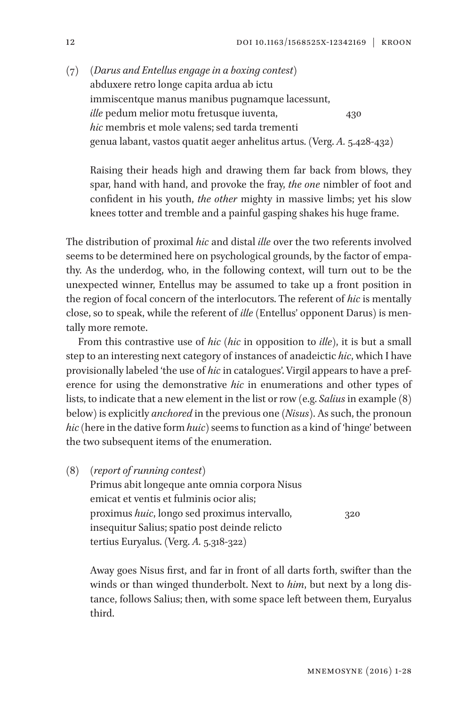(7) (*Darus and Entellus engage in a boxing contest*) abduxere retro longe capita ardua ab ictu immiscentque manus manibus pugnamque lacessunt, *ille* pedum melior motu fretusque iuventa,  $\frac{430}{430}$ *hic* membris et mole valens; sed tarda trementi genua labant, vastos quatit aeger anhelitus artus. (Verg. *A.* 5.428-432)

Raising their heads high and drawing them far back from blows, they spar, hand with hand, and provoke the fray, *the one* nimbler of foot and confident in his youth, *the other* mighty in massive limbs; yet his slow knees totter and tremble and a painful gasping shakes his huge frame.

The distribution of proximal *hic* and distal *ille* over the two referents involved seems to be determined here on psychological grounds, by the factor of empathy. As the underdog, who, in the following context, will turn out to be the unexpected winner, Entellus may be assumed to take up a front position in the region of focal concern of the interlocutors. The referent of *hic* is mentally close, so to speak, while the referent of *ille* (Entellus' opponent Darus) is mentally more remote.

From this contrastive use of *hic* (*hic* in opposition to *ille*), it is but a small step to an interesting next category of instances of anadeictic *hic*, which I have provisionally labeled 'the use of *hic* in catalogues'. Virgil appears to have a preference for using the demonstrative *hic* in enumerations and other types of lists, to indicate that a new element in the list or row (e.g. *Salius* in example (8) below) is explicitly *anchored* in the previous one (*Nisus*). As such, the pronoun *hic* (here in the dative form *huic*) seems to function as a kind of 'hinge' between the two subsequent items of the enumeration.

(8) (*report of running contest*)

Primus abit longeque ante omnia corpora Nisus emicat et ventis et fulminis ocior alis; proximus *huic*, longo sed proximus intervallo, 320 insequitur Salius; spatio post deinde relicto tertius Euryalus. (Verg. *A.* 5.318-322)

Away goes Nisus first, and far in front of all darts forth, swifter than the winds or than winged thunderbolt. Next to *him*, but next by a long distance, follows Salius; then, with some space left between them, Euryalus third.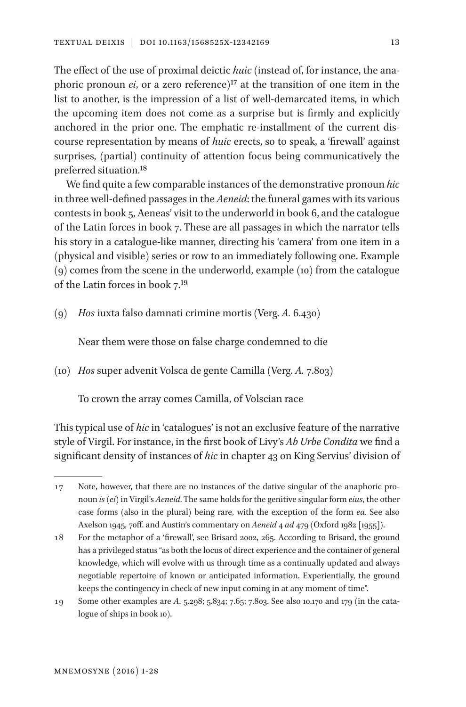The effect of the use of proximal deictic *huic* (instead of, for instance, the anaphoric pronoun *ei*, or a zero reference)<sup>17</sup> at the transition of one item in the list to another, is the impression of a list of well-demarcated items, in which the upcoming item does not come as a surprise but is firmly and explicitly anchored in the prior one. The emphatic re-installment of the current discourse representation by means of *huic* erects, so to speak, a 'firewall' against surprises, (partial) continuity of attention focus being communicatively the preferred situation.18

We find quite a few comparable instances of the demonstrative pronoun *hic* in three well-defined passages in the *Aeneid*: the funeral games with its various contests in book 5, Aeneas' visit to the underworld in book 6, and the catalogue of the Latin forces in book 7. These are all passages in which the narrator tells his story in a catalogue-like manner, directing his 'camera' from one item in a (physical and visible) series or row to an immediately following one. Example (9) comes from the scene in the underworld, example (10) from the catalogue of the Latin forces in book 7.19

(9) *Hos* iuxta falso damnati crimine mortis (Verg. *A.* 6.430)

Near them were those on false charge condemned to die

(10) *Hos* super advenit Volsca de gente Camilla (Verg. *A.* 7.803)

To crown the array comes Camilla, of Volscian race

This typical use of *hic* in 'catalogues' is not an exclusive feature of the narrative style of Virgil. For instance, in the first book of Livy's *Ab Urbe Condita* we find a significant density of instances of *hic* in chapter 43 on King Servius' division of

<sup>17</sup> Note, however, that there are no instances of the dative singular of the anaphoric pronoun *is* (*ei*) in Virgil's *Aeneid*. The same holds for the genitive singular form *eius*, the other case forms (also in the plural) being rare, with the exception of the form *ea*. See also Axelson 1945, 70ff. and Austin's commentary on *Aeneid* 4 *ad* 479 (Oxford 1982 [1955]).

<sup>18</sup> For the metaphor of a 'firewall', see Brisard 2002, 265. According to Brisard, the ground has a privileged status "as both the locus of direct experience and the container of general knowledge, which will evolve with us through time as a continually updated and always negotiable repertoire of known or anticipated information. Experientially, the ground keeps the contingency in check of new input coming in at any moment of time".

<sup>19</sup> Some other examples are *A*. 5.298; 5.834; 7.65; 7.803. See also 10.170 and 179 (in the catalogue of ships in book 10).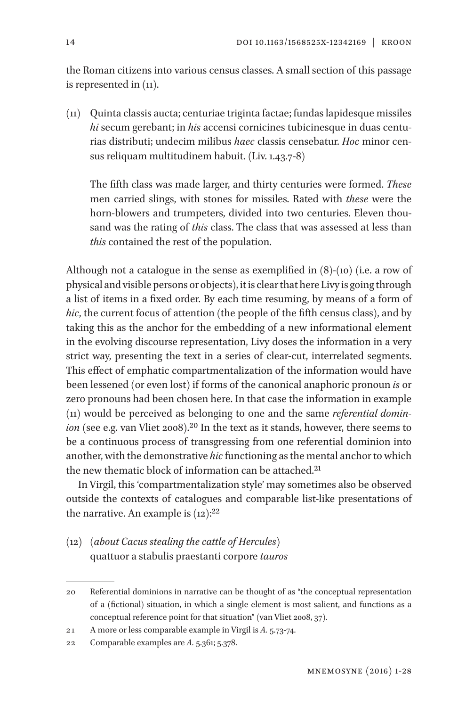the Roman citizens into various census classes. A small section of this passage is represented in (11).

(11) Quinta classis aucta; centuriae triginta factae; fundas lapidesque missiles *hi* secum gerebant; in *his* accensi cornicines tubicinesque in duas centurias distributi; undecim milibus *haec* classis censebatur. *Hoc* minor census reliquam multitudinem habuit. (Liv. 1.43.7-8)

The fifth class was made larger, and thirty centuries were formed. *These* men carried slings, with stones for missiles. Rated with *these* were the horn-blowers and trumpeters, divided into two centuries. Eleven thousand was the rating of *this* class. The class that was assessed at less than *this* contained the rest of the population.

Although not a catalogue in the sense as exemplified in  $(8)-(10)$  (i.e. a row of physical and visible persons or objects), it is clear that here Livy is going through a list of items in a fixed order. By each time resuming, by means of a form of *hic*, the current focus of attention (the people of the fifth census class), and by taking this as the anchor for the embedding of a new informational element in the evolving discourse representation, Livy doses the information in a very strict way, presenting the text in a series of clear-cut, interrelated segments. This effect of emphatic compartmentalization of the information would have been lessened (or even lost) if forms of the canonical anaphoric pronoun *is* or zero pronouns had been chosen here. In that case the information in example (11) would be perceived as belonging to one and the same *referential dominion* (see e.g. van Vliet 2008).<sup>20</sup> In the text as it stands, however, there seems to be a continuous process of transgressing from one referential dominion into another, with the demonstrative *hic* functioning as the mental anchor to which the new thematic block of information can be attached.<sup>21</sup>

In Virgil, this 'compartmentalization style' may sometimes also be observed outside the contexts of catalogues and comparable list-like presentations of the narrative. An example is  $(12):^{22}$ 

(12) (*about Cacus stealing the cattle of Hercules)* quattuor a stabulis praestanti corpore *tauros*

<sup>20</sup> Referential dominions in narrative can be thought of as "the conceptual representation of a (fictional) situation, in which a single element is most salient, and functions as a conceptual reference point for that situation" (van Vliet 2008, 37).

<sup>21</sup> A more or less comparable example in Virgil is *A.* 5.73-74.

<sup>22</sup> Comparable examples are *A.* 5.361; 5.378.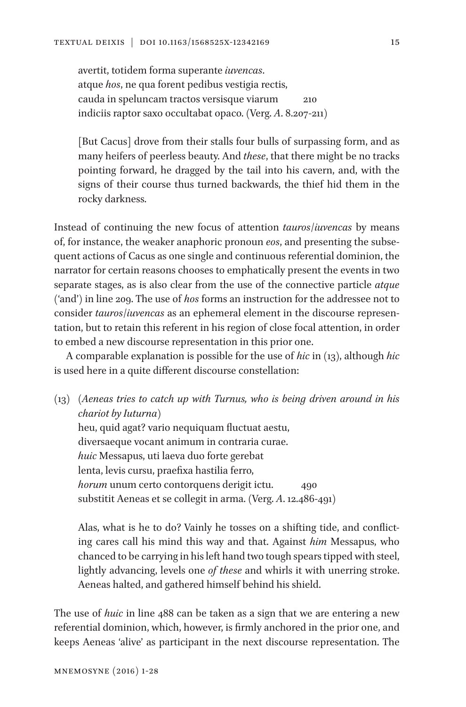avertit, totidem forma superante *iuvencas*. atque *hos*, ne qua forent pedibus vestigia rectis, cauda in speluncam tractos versisque viarum 210 indiciis raptor saxo occultabat opaco. (Verg. *A*. 8.207-211)

[But Cacus] drove from their stalls four bulls of surpassing form, and as many heifers of peerless beauty. And *these*, that there might be no tracks pointing forward, he dragged by the tail into his cavern, and, with the signs of their course thus turned backwards, the thief hid them in the rocky darkness.

Instead of continuing the new focus of attention *tauros*/*iuvencas* by means of, for instance, the weaker anaphoric pronoun *eos*, and presenting the subsequent actions of Cacus as one single and continuous referential dominion, the narrator for certain reasons chooses to emphatically present the events in two separate stages, as is also clear from the use of the connective particle *atque* ('and') in line 209. The use of *hos* forms an instruction for the addressee not to consider *tauros*/*iuvencas* as an ephemeral element in the discourse representation, but to retain this referent in his region of close focal attention, in order to embed a new discourse representation in this prior one.

A comparable explanation is possible for the use of *hic* in (13), although *hic* is used here in a quite different discourse constellation:

(13) (*Aeneas tries to catch up with Turnus, who is being driven around in his chariot by Iuturna*) heu, quid agat? vario nequiquam fluctuat aestu,

diversaeque vocant animum in contraria curae. *huic* Messapus, uti laeva duo forte gerebat lenta, levis cursu, praefixa hastilia ferro, *horum* unum certo contorquens derigit ictu. 490 substitit Aeneas et se collegit in arma. (Verg. *A*. 12.486-491)

Alas, what is he to do? Vainly he tosses on a shifting tide, and conflicting cares call his mind this way and that. Against *him* Messapus, who chanced to be carrying in his left hand two tough spears tipped with steel, lightly advancing, levels one *of these* and whirls it with unerring stroke. Aeneas halted, and gathered himself behind his shield.

The use of *huic* in line 488 can be taken as a sign that we are entering a new referential dominion, which, however, is firmly anchored in the prior one, and keeps Aeneas 'alive' as participant in the next discourse representation. The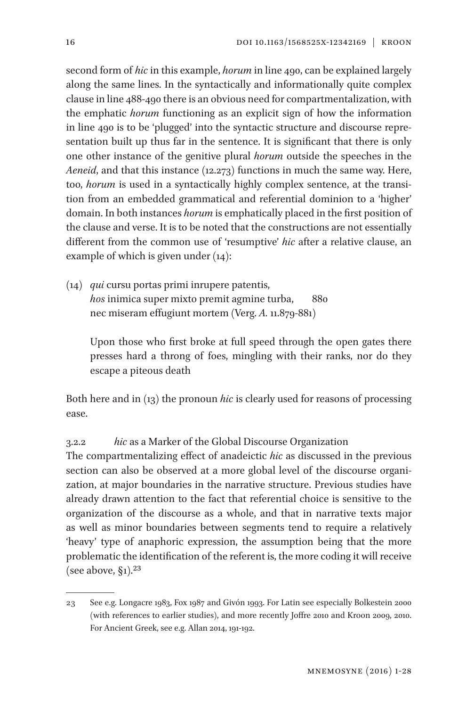second form of *hic* in this example, *horum* in line 490, can be explained largely along the same lines. In the syntactically and informationally quite complex clause in line 488-490 there is an obvious need for compartmentalization, with the emphatic *horum* functioning as an explicit sign of how the information in line 490 is to be 'plugged' into the syntactic structure and discourse representation built up thus far in the sentence. It is significant that there is only one other instance of the genitive plural *horum* outside the speeches in the *Aeneid*, and that this instance (12.273) functions in much the same way. Here, too, *horum* is used in a syntactically highly complex sentence, at the transition from an embedded grammatical and referential dominion to a 'higher' domain. In both instances *horum* is emphatically placed in the first position of the clause and verse. It is to be noted that the constructions are not essentially different from the common use of 'resumptive' *hic* after a relative clause, an example of which is given under (14):

(14) *qui* cursu portas primi inrupere patentis, *hos* inimica super mixto premit agmine turba, 880 nec miseram effugiunt mortem (Verg. *A.* 11.879-881)

Upon those who first broke at full speed through the open gates there presses hard a throng of foes, mingling with their ranks, nor do they escape a piteous death

Both here and in (13) the pronoun *hic* is clearly used for reasons of processing ease.

3.2.2 *hic* as a Marker of the Global Discourse Organization

The compartmentalizing effect of anadeictic *hic* as discussed in the previous section can also be observed at a more global level of the discourse organization, at major boundaries in the narrative structure. Previous studies have already drawn attention to the fact that referential choice is sensitive to the organization of the discourse as a whole, and that in narrative texts major as well as minor boundaries between segments tend to require a relatively 'heavy' type of anaphoric expression, the assumption being that the more problematic the identification of the referent is, the more coding it will receive (see above,  $\S_1$ ).<sup>23</sup>

<sup>23</sup> See e.g. Longacre 1983, Fox 1987 and Givón 1993. For Latin see especially Bolkestein 2000 (with references to earlier studies), and more recently Joffre 2010 and Kroon 2009, 2010. For Ancient Greek, see e.g. Allan 2014, 191-192.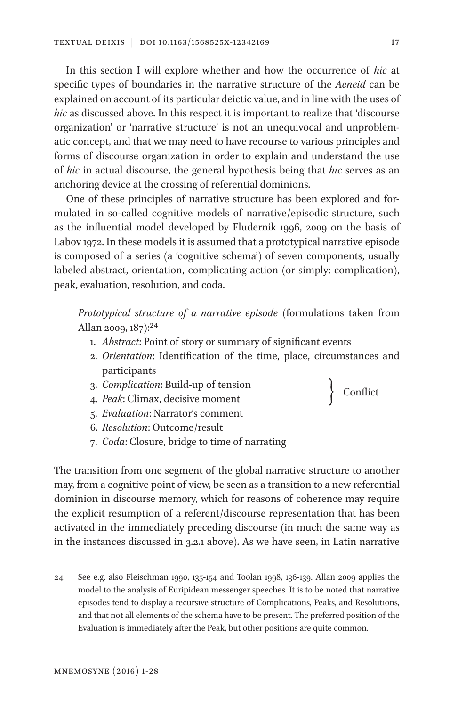In this section I will explore whether and how the occurrence of *hic* at specific types of boundaries in the narrative structure of the *Aeneid* can be explained on account of its particular deictic value, and in line with the uses of *hic* as discussed above. In this respect it is important to realize that 'discourse organization' or 'narrative structure' is not an unequivocal and unproblematic concept, and that we may need to have recourse to various principles and forms of discourse organization in order to explain and understand the use of *hic* in actual discourse, the general hypothesis being that *hic* serves as an anchoring device at the crossing of referential dominions.

One of these principles of narrative structure has been explored and formulated in so-called cognitive models of narrative/episodic structure, such as the influential model developed by Fludernik 1996, 2009 on the basis of Labov 1972. In these models it is assumed that a prototypical narrative episode is composed of a series (a 'cognitive schema') of seven components, usually labeled abstract, orientation, complicating action (or simply: complication), peak, evaluation, resolution, and coda.

*Prototypical structure of a narrative episode* (formulations taken from Allan 2009, 187):24

- 1. *Abstract*: Point of story or summary of significant events
- 2. *Orientation*: Identification of the time, place, circumstances and participants
- 3. *Complication*: Build-up of tension
- 4. *Peak*: Climax, decisive moment
- 5. *Evaluation*: Narrator's comment
- 6. *Resolution*: Outcome/result
- 7. *Coda*: Closure, bridge to time of narrating

The transition from one segment of the global narrative structure to another may, from a cognitive point of view, be seen as a transition to a new referential dominion in discourse memory, which for reasons of coherence may require the explicit resumption of a referent/discourse representation that has been activated in the immediately preceding discourse (in much the same way as in the instances discussed in 3.2.1 above). As we have seen, in Latin narrative

Conflict

<sup>24</sup> See e.g. also Fleischman 1990, 135-154 and Toolan 1998, 136-139. Allan 2009 applies the model to the analysis of Euripidean messenger speeches. It is to be noted that narrative episodes tend to display a recursive structure of Complications, Peaks, and Resolutions, and that not all elements of the schema have to be present. The preferred position of the Evaluation is immediately after the Peak, but other positions are quite common.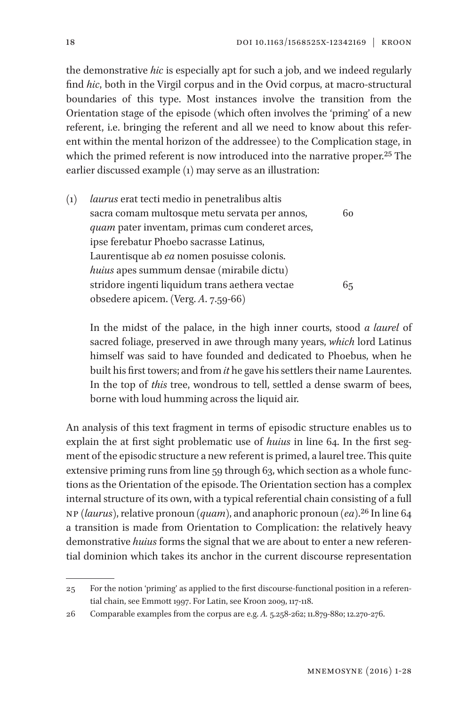the demonstrative *hic* is especially apt for such a job, and we indeed regularly find *hic*, both in the Virgil corpus and in the Ovid corpus, at macro-structural boundaries of this type. Most instances involve the transition from the Orientation stage of the episode (which often involves the 'priming' of a new referent, i.e. bringing the referent and all we need to know about this referent within the mental horizon of the addressee) to the Complication stage, in which the primed referent is now introduced into the narrative proper.<sup>25</sup> The earlier discussed example (1) may serve as an illustration:

(1) *laurus* erat tecti medio in penetralibus altis sacra comam multosque metu servata per annos, 60 *quam* pater inventam, primas cum conderet arces, ipse ferebatur Phoebo sacrasse Latinus, Laurentisque ab *ea* nomen posuisse colonis. *huius* apes summum densae (mirabile dictu) stridore ingenti liquidum trans aethera vectae 65 obsedere apicem. (Verg. *A*. 7.59-66)

In the midst of the palace, in the high inner courts, stood *a laurel* of sacred foliage, preserved in awe through many years, *which* lord Latinus himself was said to have founded and dedicated to Phoebus, when he built his first towers; and from *it* he gave his settlers their name Laurentes. In the top of *this* tree, wondrous to tell, settled a dense swarm of bees, borne with loud humming across the liquid air.

An analysis of this text fragment in terms of episodic structure enables us to explain the at first sight problematic use of *huius* in line 64. In the first segment of the episodic structure a new referent is primed, a laurel tree. This quite extensive priming runs from line 59 through 63, which section as a whole functions as the Orientation of the episode. The Orientation section has a complex internal structure of its own, with a typical referential chain consisting of a full NP (*laurus*), relative pronoun (*quam*), and anaphoric pronoun (*ea*).26 In line 64 a transition is made from Orientation to Complication: the relatively heavy demonstrative *huius* forms the signal that we are about to enter a new referential dominion which takes its anchor in the current discourse representation

<sup>25</sup> For the notion 'priming' as applied to the first discourse-functional position in a referential chain, see Emmott 1997. For Latin, see Kroon 2009, 117-118.

<sup>26</sup> Comparable examples from the corpus are e.g. *A.* 5.258-262; 11.879-880; 12.270-276.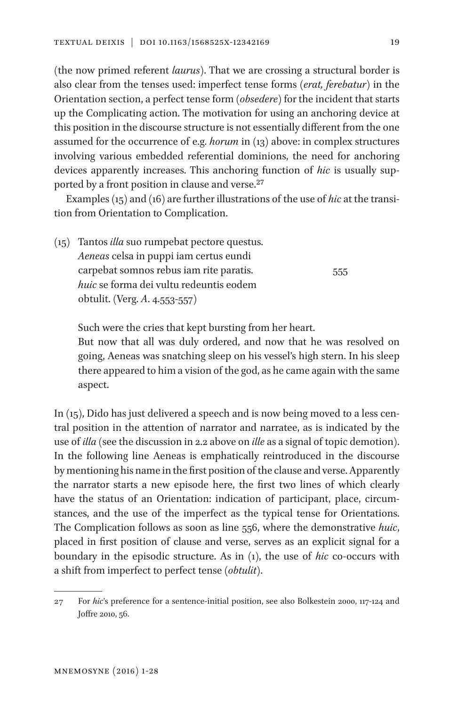(the now primed referent *laurus*). That we are crossing a structural border is also clear from the tenses used: imperfect tense forms (*erat, ferebatur*) in the Orientation section, a perfect tense form (*obsedere*) for the incident that starts up the Complicating action. The motivation for using an anchoring device at this position in the discourse structure is not essentially different from the one assumed for the occurrence of e.g. *horum* in (13) above: in complex structures involving various embedded referential dominions, the need for anchoring devices apparently increases. This anchoring function of *hic* is usually supported by a front position in clause and verse.<sup>27</sup>

Examples (15) and (16) are further illustrations of the use of *hic* at the transition from Orientation to Complication.

(15) Tantos *illa* suo rumpebat pectore questus. *Aeneas* celsa in puppi iam certus eundi carpebat somnos rebus iam rite paratis. 555 *huic* se forma dei vultu redeuntis eodem obtulit. (Verg. *A*. 4.553-557)

Such were the cries that kept bursting from her heart. But now that all was duly ordered, and now that he was resolved on going, Aeneas was snatching sleep on his vessel's high stern. In his sleep there appeared to him a vision of the god, as he came again with the same aspect.

In (15), Dido has just delivered a speech and is now being moved to a less central position in the attention of narrator and narratee, as is indicated by the use of *illa* (see the discussion in 2.2 above on *ille* as a signal of topic demotion). In the following line Aeneas is emphatically reintroduced in the discourse by mentioning his name in the first position of the clause and verse. Apparently the narrator starts a new episode here, the first two lines of which clearly have the status of an Orientation: indication of participant, place, circumstances, and the use of the imperfect as the typical tense for Orientations. The Complication follows as soon as line 556, where the demonstrative *huic*, placed in first position of clause and verse, serves as an explicit signal for a boundary in the episodic structure. As in (1), the use of *hic* co-occurs with a shift from imperfect to perfect tense (*obtulit*).

<sup>27</sup> For *hic*'s preference for a sentence-initial position, see also Bolkestein 2000, 117-124 and Joffre 2010, 56.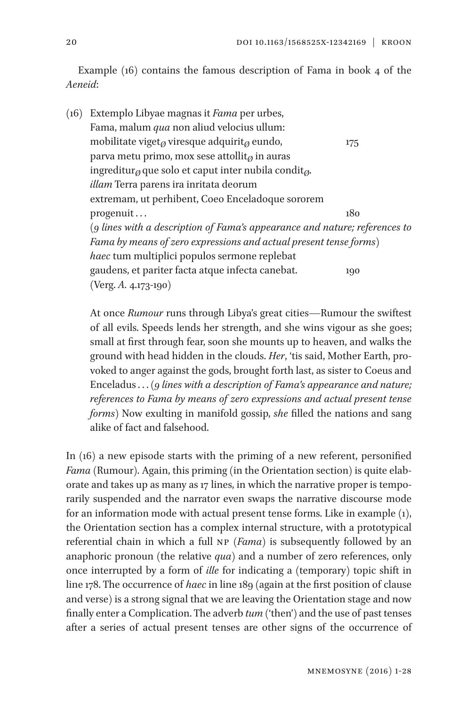Example (16) contains the famous description of Fama in book 4 of the *Aeneid*:

(16) Extemplo Libyae magnas it *Fama* per urbes, Fama, malum *qua* non aliud velocius ullum: mobilitate viget<sub> $\varnothing$ </sub> viresque adquirit<sub> $\varnothing$ </sub> eundo, 175 parva metu primo, mox sese attollit<sub> $\varnothing$ </sub> in auras ingreditur<sub> $\varnothing$ </sub> que solo et caput inter nubila condit<sub> $\varnothing$ </sub>. *illam* Terra parens ira inritata deorum extremam, ut perhibent, Coeo Enceladoque sororem progenuit . . 180 (*9 lines with a description of Fama's appearance and nature; references to Fama by means of zero expressions and actual present tense forms*) *haec* tum multiplici populos sermone replebat gaudens, et pariter facta atque infecta canebat. 190 (Verg. *A.* 4.173-190)

At once *Rumour* runs through Libya's great cities—Rumour the swiftest of all evils. Speeds lends her strength, and she wins vigour as she goes; small at first through fear, soon she mounts up to heaven, and walks the ground with head hidden in the clouds. *Her*, 'tis said, Mother Earth, provoked to anger against the gods, brought forth last, as sister to Coeus and Enceladus . . . (*9 lines with a description of Fama's appearance and nature; references to Fama by means of zero expressions and actual present tense forms*) Now exulting in manifold gossip, *she* filled the nations and sang alike of fact and falsehood.

In (16) a new episode starts with the priming of a new referent, personified *Fama* (Rumour). Again, this priming (in the Orientation section) is quite elaborate and takes up as many as 17 lines, in which the narrative proper is temporarily suspended and the narrator even swaps the narrative discourse mode for an information mode with actual present tense forms. Like in example (1), the Orientation section has a complex internal structure, with a prototypical referential chain in which a full NP (*Fama*) is subsequently followed by an anaphoric pronoun (the relative *qua*) and a number of zero references, only once interrupted by a form of *ille* for indicating a (temporary) topic shift in line 178. The occurrence of *haec* in line 189 (again at the first position of clause and verse) is a strong signal that we are leaving the Orientation stage and now finally enter a Complication. The adverb *tum* ('then') and the use of past tenses after a series of actual present tenses are other signs of the occurrence of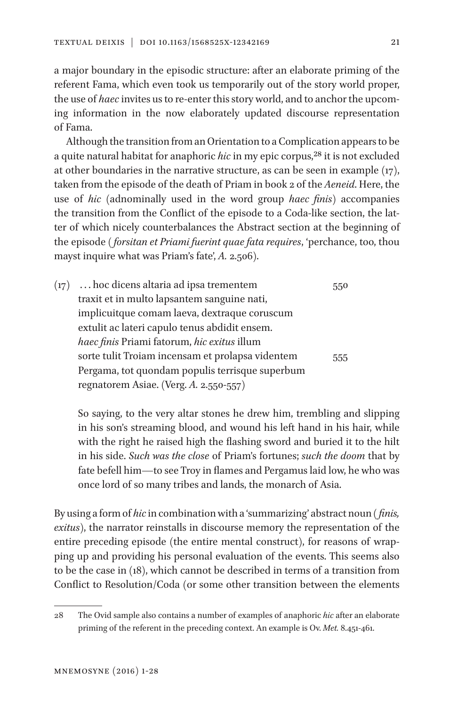a major boundary in the episodic structure: after an elaborate priming of the referent Fama, which even took us temporarily out of the story world proper, the use of *haec* invites us to re-enter this story world, and to anchor the upcoming information in the now elaborately updated discourse representation of Fama.

Although the transition from an Orientation to a Complication appears to be a quite natural habitat for anaphoric *hic* in my epic corpus,<sup>28</sup> it is not excluded at other boundaries in the narrative structure, as can be seen in example (17), taken from the episode of the death of Priam in book 2 of the *Aeneid*. Here, the use of *hic* (adnominally used in the word group *haec finis*) accompanies the transition from the Conflict of the episode to a Coda-like section, the latter of which nicely counterbalances the Abstract section at the beginning of the episode *( forsitan et Priami fuerint quae fata requires*, 'perchance, too, thou mayst inquire what was Priam's fate', *A.* 2.506).

(17)  . . . hoc dicens altaria ad ipsa trementem 550 traxit et in multo lapsantem sanguine nati, implicuitque comam laeva, dextraque coruscum extulit ac lateri capulo tenus abdidit ensem. *haec finis* Priami fatorum, *hic exitus* illum sorte tulit Troiam incensam et prolapsa videntem 555 Pergama, tot quondam populis terrisque superbum regnatorem Asiae. (Verg. *A.* 2.550-557)

So saying, to the very altar stones he drew him, trembling and slipping in his son's streaming blood, and wound his left hand in his hair, while with the right he raised high the flashing sword and buried it to the hilt in his side. *Such was the close* of Priam's fortunes; *such the doom* that by fate befell him—to see Troy in flames and Pergamus laid low, he who was once lord of so many tribes and lands, the monarch of Asia.

By using a form of *hic* in combination with a 'summarizing' abstract noun *( finis, exitus*), the narrator reinstalls in discourse memory the representation of the entire preceding episode (the entire mental construct), for reasons of wrapping up and providing his personal evaluation of the events. This seems also to be the case in (18), which cannot be described in terms of a transition from Conflict to Resolution/Coda (or some other transition between the elements

<sup>28</sup> The Ovid sample also contains a number of examples of anaphoric *hic* after an elaborate priming of the referent in the preceding context. An example is Ov. *Met.* 8.451-461.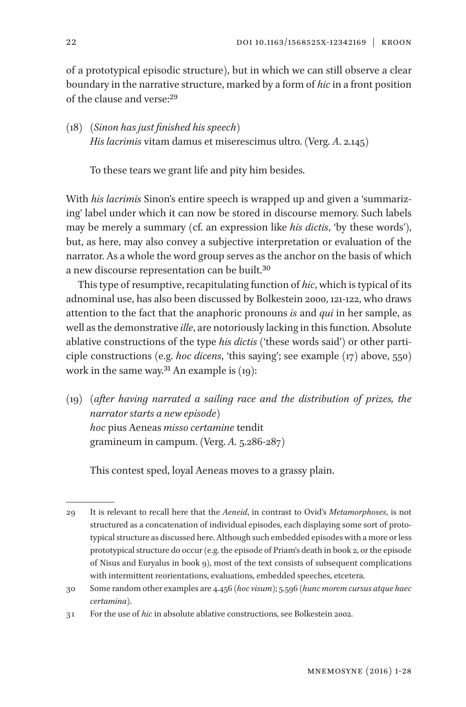of a prototypical episodic structure), but in which we can still observe a clear boundary in the narrative structure, marked by a form of *hic* in a front position of the clause and verse:29

(18) (*Sinon has just finished his speech*) *His lacrimis* vitam damus et miserescimus ultro. (Verg. *A*. 2.145)

To these tears we grant life and pity him besides.

With *his lacrimis* Sinon's entire speech is wrapped up and given a 'summarizing' label under which it can now be stored in discourse memory. Such labels may be merely a summary (cf. an expression like *his dictis*, 'by these words'), but, as here, may also convey a subjective interpretation or evaluation of the narrator. As a whole the word group serves as the anchor on the basis of which a new discourse representation can be built.30

This type of resumptive, recapitulating function of *hic*, which is typical of its adnominal use, has also been discussed by Bolkestein 2000, 121-122, who draws attention to the fact that the anaphoric pronouns *is* and *qui* in her sample, as well as the demonstrative *ille*, are notoriously lacking in this function. Absolute ablative constructions of the type *his dictis* ('these words said') or other participle constructions (e.g. *hoc dicens*, 'this saying'; see example (17) above, 550) work in the same way.<sup>31</sup> An example is  $(19)$ :

(19) (*after having narrated a sailing race and the distribution of prizes, the narrator starts a new episode*) *hoc* pius Aeneas *misso certamine* tendit gramineum in campum. (Verg. *A.* 5.286-287)

This contest sped, loyal Aeneas moves to a grassy plain.

<sup>29</sup> It is relevant to recall here that the *Aeneid*, in contrast to Ovid's *Metamorphoses*, is not structured as a concatenation of individual episodes, each displaying some sort of prototypical structure as discussed here. Although such embedded episodes with a more or less prototypical structure do occur (e.g. the episode of Priam's death in book 2, or the episode of Nisus and Euryalus in book 9), most of the text consists of subsequent complications with intermittent reorientations, evaluations, embedded speeches, etcetera.

<sup>30</sup> Some random other examples are 4.456 (*hoc visum*); 5.596 (*hunc morem cursus atque haec certamina*).

<sup>31</sup> For the use of *hic* in absolute ablative constructions, see Bolkestein 2002.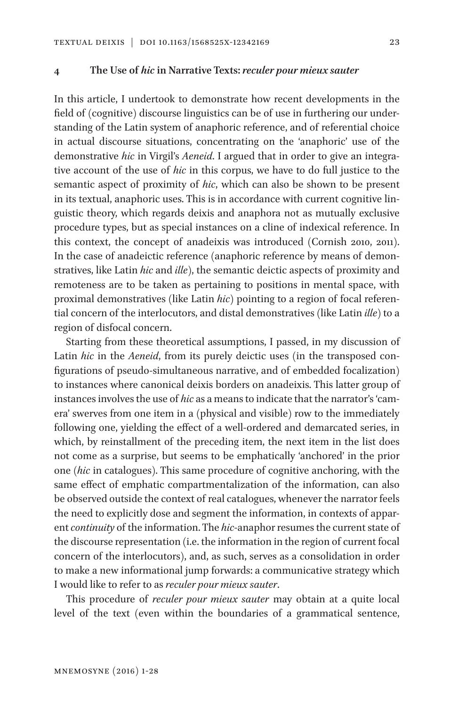#### **4 The Use of** *hic* **in Narrative Texts:** *reculer pour mieux sauter*

In this article, I undertook to demonstrate how recent developments in the field of (cognitive) discourse linguistics can be of use in furthering our understanding of the Latin system of anaphoric reference, and of referential choice in actual discourse situations, concentrating on the 'anaphoric' use of the demonstrative *hic* in Virgil's *Aeneid*. I argued that in order to give an integrative account of the use of *hic* in this corpus, we have to do full justice to the semantic aspect of proximity of *hic*, which can also be shown to be present in its textual, anaphoric uses. This is in accordance with current cognitive linguistic theory, which regards deixis and anaphora not as mutually exclusive procedure types, but as special instances on a cline of indexical reference. In this context, the concept of anadeixis was introduced (Cornish 2010, 2011). In the case of anadeictic reference (anaphoric reference by means of demonstratives, like Latin *hic* and *ille*), the semantic deictic aspects of proximity and remoteness are to be taken as pertaining to positions in mental space, with proximal demonstratives (like Latin *hic*) pointing to a region of focal referential concern of the interlocutors, and distal demonstratives (like Latin *ille*) to a region of disfocal concern.

Starting from these theoretical assumptions, I passed, in my discussion of Latin *hic* in the *Aeneid*, from its purely deictic uses (in the transposed configurations of pseudo-simultaneous narrative, and of embedded focalization) to instances where canonical deixis borders on anadeixis. This latter group of instances involves the use of *hic* as a means to indicate that the narrator's 'camera' swerves from one item in a (physical and visible) row to the immediately following one, yielding the effect of a well-ordered and demarcated series, in which, by reinstallment of the preceding item, the next item in the list does not come as a surprise, but seems to be emphatically 'anchored' in the prior one (*hic* in catalogues). This same procedure of cognitive anchoring, with the same effect of emphatic compartmentalization of the information, can also be observed outside the context of real catalogues, whenever the narrator feels the need to explicitly dose and segment the information, in contexts of apparent *continuity* of the information. The *hic*-anaphor resumes the current state of the discourse representation (i.e. the information in the region of current focal concern of the interlocutors), and, as such, serves as a consolidation in order to make a new informational jump forwards: a communicative strategy which I would like to refer to as *reculer pour mieux sauter*.

This procedure of *reculer pour mieux sauter* may obtain at a quite local level of the text (even within the boundaries of a grammatical sentence,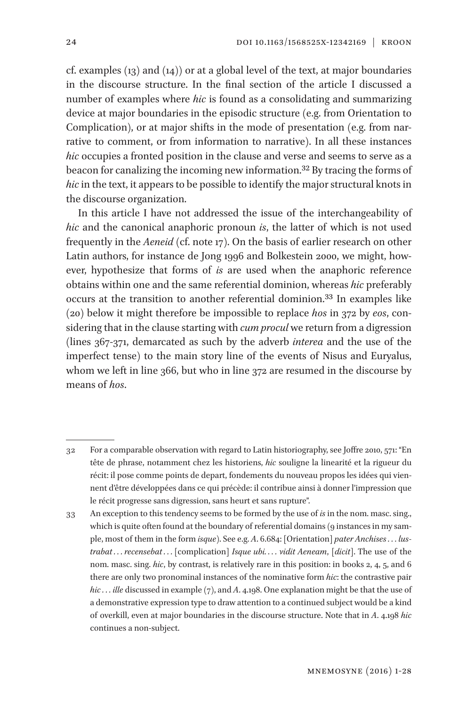cf. examples (13) and (14)) or at a global level of the text, at major boundaries in the discourse structure. In the final section of the article I discussed a number of examples where *hic* is found as a consolidating and summarizing device at major boundaries in the episodic structure (e.g. from Orientation to Complication), or at major shifts in the mode of presentation (e.g. from narrative to comment, or from information to narrative). In all these instances *hic* occupies a fronted position in the clause and verse and seems to serve as a beacon for canalizing the incoming new information.32 By tracing the forms of *hic* in the text, it appears to be possible to identify the major structural knots in the discourse organization.

In this article I have not addressed the issue of the interchangeability of *hic* and the canonical anaphoric pronoun *is*, the latter of which is not used frequently in the *Aeneid* (cf. note 17). On the basis of earlier research on other Latin authors, for instance de Jong 1996 and Bolkestein 2000, we might, however, hypothesize that forms of *is* are used when the anaphoric reference obtains within one and the same referential dominion, whereas *hic* preferably occurs at the transition to another referential dominion.33 In examples like (20) below it might therefore be impossible to replace *hos* in 372 by *eos*, considering that in the clause starting with *cum procul* we return from a digression (lines 367-371, demarcated as such by the adverb *interea* and the use of the imperfect tense) to the main story line of the events of Nisus and Euryalus, whom we left in line 366, but who in line 372 are resumed in the discourse by means of *hos*.

<sup>32</sup> For a comparable observation with regard to Latin historiography, see Joffre 2010, 571: "En tête de phrase, notamment chez les historiens, *hic* souligne la linearité et la rigueur du récit: il pose comme points de depart, fondements du nouveau propos les idées qui viennent d'être développées dans ce qui précède: il contribue ainsi à donner l'impression que le récit progresse sans digression, sans heurt et sans rupture".

<sup>33</sup> An exception to this tendency seems to be formed by the use of *is* in the nom. masc. sing., which is quite often found at the boundary of referential domains (9 instances in my sample, most of them in the form *isque*). See e.g. *A*. 6.684: [Orientation] *pater Anchises . . . lustrabat . . .recensebat . . .* [complication] *Isque ubi. . . . vidit Aeneam*, [*dicit*]. The use of the nom. masc. sing. *hic*, by contrast, is relatively rare in this position: in books 2, 4, 5, and 6 there are only two pronominal instances of the nominative form *hic*: the contrastive pair *hic . . . ille* discussed in example (7), and *A*. 4.198. One explanation might be that the use of a demonstrative expression type to draw attention to a continued subject would be a kind of overkill, even at major boundaries in the discourse structure. Note that in *A*. 4.198 *hic* continues a non-subject.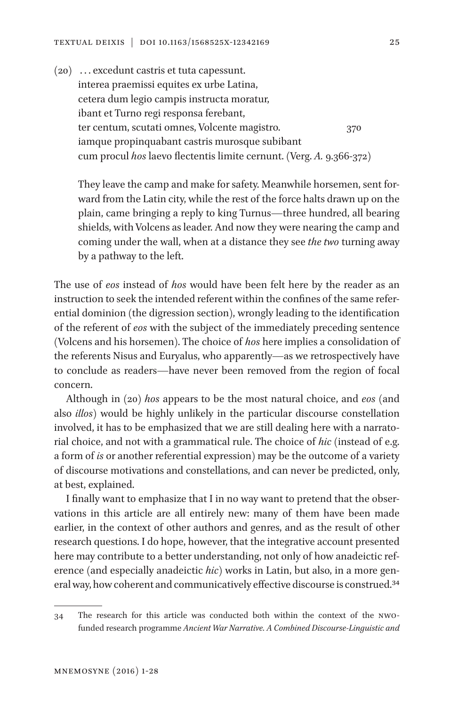(20)  . . . excedunt castris et tuta capessunt. interea praemissi equites ex urbe Latina, cetera dum legio campis instructa moratur, ibant et Turno regi responsa ferebant, ter centum, scutati omnes, Volcente magistro. 370 iamque propinquabant castris murosque subibant cum procul *hos* laevo flectentis limite cernunt. (Verg. *A.* 9.366-372)

They leave the camp and make for safety. Meanwhile horsemen, sent forward from the Latin city, while the rest of the force halts drawn up on the plain, came bringing a reply to king Turnus—three hundred, all bearing shields, with Volcens as leader. And now they were nearing the camp and coming under the wall, when at a distance they see *the two* turning away by a pathway to the left.

The use of *eos* instead of *hos* would have been felt here by the reader as an instruction to seek the intended referent within the confines of the same referential dominion (the digression section), wrongly leading to the identification of the referent of *eos* with the subject of the immediately preceding sentence (Volcens and his horsemen). The choice of *hos* here implies a consolidation of the referents Nisus and Euryalus, who apparently—as we retrospectively have to conclude as readers—have never been removed from the region of focal concern.

Although in (20) *hos* appears to be the most natural choice, and *eos* (and also *illos*) would be highly unlikely in the particular discourse constellation involved, it has to be emphasized that we are still dealing here with a narratorial choice, and not with a grammatical rule. The choice of *hic* (instead of e.g. a form of *is* or another referential expression) may be the outcome of a variety of discourse motivations and constellations, and can never be predicted, only, at best, explained.

I finally want to emphasize that I in no way want to pretend that the observations in this article are all entirely new: many of them have been made earlier, in the context of other authors and genres, and as the result of other research questions. I do hope, however, that the integrative account presented here may contribute to a better understanding, not only of how anadeictic reference (and especially anadeictic *hic*) works in Latin, but also, in a more general way, how coherent and communicatively effective discourse is construed.<sup>34</sup>

<sup>34</sup> The research for this article was conducted both within the context of the NWOfunded research programme *Ancient War Narrative. A Combined Discourse-Linguistic and*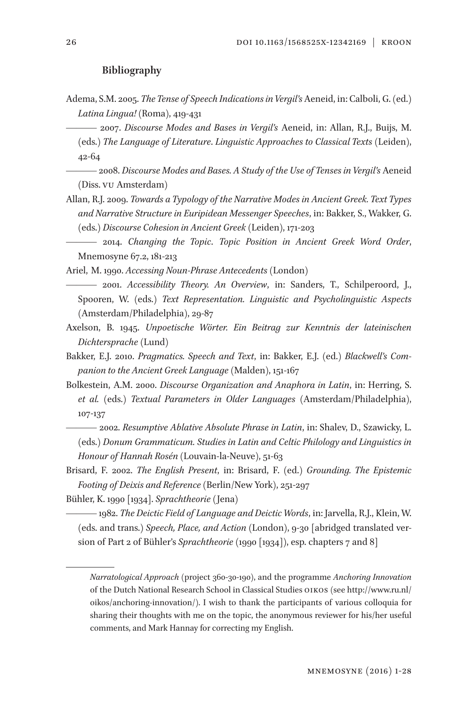#### **Bibliography**

- Adema, S.M. 2005. *The Tense of Speech Indications in Vergil's* Aeneid, in: Calboli, G. (ed.) *Latina Lingua!* (Roma), 419-431
	- ――― 2007. *Discourse Modes and Bases in Vergil's* Aeneid, in: Allan, R.J., Buijs, M. (eds.) *The Language of Literature*. *Linguistic Approaches to Classical Texts* (Leiden), 42-64
	- ――― 2008. *Discourse Modes and Bases. A Study of the Use of Tenses in Vergil's* Aeneid (Diss. VU Amsterdam)
- Allan, R.J. 2009. *Towards a Typology of the Narrative Modes in Ancient Greek. Text Types and Narrative Structure in Euripidean Messenger Speeches*, in: Bakker, S., Wakker, G. (eds.) *Discourse Cohesion in Ancient Greek* (Leiden), 171-203

――― 2014. *Changing the Topic*. *Topic Position in Ancient Greek Word Order*, Mnemosyne 67.2, 181-213

Ariel, M. 1990. *Accessing Noun-Phrase Antecedents* (London)

――― 2001. *Accessibility Theory. An Overview*, in: Sanders, T., Schilperoord, J., Spooren, W. (eds.) *Text Representation. Linguistic and Psycholinguistic Aspects* (Amsterdam/Philadelphia), 29-87

- Axelson, B. 1945. *Unpoetische Wörter. Ein Beitrag zur Kenntnis der lateinischen Dichtersprache* (Lund)
- Bakker, E.J. 2010. *Pragmatics. Speech and Text*, in: Bakker, E.J. (ed.) *Blackwell's Companion to the Ancient Greek Language* (Malden), 151-167
- Bolkestein, A.M. 2000. *Discourse Organization and Anaphora in Latin*, in: Herring, S. *et al.* (eds.) *Textual Parameters in Older Languages* (Amsterdam/Philadelphia), 107-137

――― 2002. *Resumptive Ablative Absolute Phrase in Latin*, in: Shalev, D., Szawicky, L. (eds.) *Donum Grammaticum. Studies in Latin and Celtic Philology and Linguistics in Honour of Hannah Rosén* (Louvain-la-Neuve), 51-63

- Brisard, F. 2002. *The English Present*, in: Brisard, F. (ed.) *Grounding. The Epistemic Footing of Deixis and Reference* (Berlin/New York), 251-297
- Bühler, K. 1990 [1934]. *Sprachtheorie* (Jena)

――― 1982. *The Deictic Field of Language and Deictic Words*, in: Jarvella, R.J., Klein, W. (eds. and trans.) *Speech, Place, and Action* (London), 9-30 [abridged translated version of Part 2 of Bühler's *Sprachtheorie* (1990 [1934]), esp. chapters 7 and 8]

*Narratological Approach* (project 360-30-190), and the programme *Anchoring Innovation* of the Dutch National Research School in Classical Studies OIKOS (see http://www.ru.nl/ oikos/anchoring-innovation/). I wish to thank the participants of various colloquia for sharing their thoughts with me on the topic, the anonymous reviewer for his/her useful comments, and Mark Hannay for correcting my English.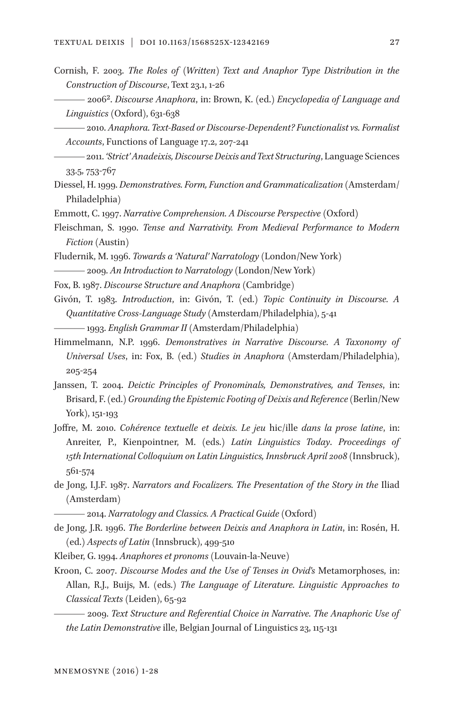- Cornish, F. 2003. *The Roles of (Written) Text and Anaphor Type Distribution in the Construction of Discourse*, Text 23.1, 1-26
	- ――― 20062. *Discourse Anaphora*, in: Brown, K. (ed.) *Encyclopedia of Language and*  Linguistics (Oxford), 631-638
	- ――― 2010. *Anaphora. Text-Based or Discourse-Dependent? Functionalist vs. Formalist Accounts*, Functions of Language 17.2, 207-241
	- ――― 2011. *'Strict' Anadeixis, Discourse Deixis and Text Structuring*, Language Sciences 33.5, 753-767
- Diessel, H. 1999. *Demonstratives. Form, Function and Grammaticalization* (Amsterdam/ Philadelphia)
- Emmott, C. 1997. *Narrative Comprehension. A Discourse Perspective* (Oxford)
- Fleischman, S. 1990. *Tense and Narrativity. From Medieval Performance to Modern Fiction* (Austin)
- Fludernik, M. 1996. *Towards a 'Natural' Narratology* (London/New York)
- ――― 2009. *An Introduction to Narratology* (London/New York)
- Fox, B. 1987. *Discourse Structure and Anaphora* (Cambridge)
- Givón, T. 1983. *Introduction*, in: Givón, T. (ed.) *Topic Continuity in Discourse. A Quantitative Cross-Language Study* (Amsterdam/Philadelphia), 5-41

――― 1993. *English Grammar II* (Amsterdam/Philadelphia)

- Himmelmann, N.P. 1996. *Demonstratives in Narrative Discourse. A Taxonomy of Universal Uses*, in: Fox, B. (ed.) *Studies in Anaphora* (Amsterdam/Philadelphia), 205-254
- Janssen, T. 2004. *Deictic Principles of Pronominals, Demonstratives, and Tenses*, in: Brisard, F. (ed.) *Grounding the Epistemic Footing of Deixis and Reference* (Berlin/New York), 151-193
- Joffre, M. 2010. *Cohérence textuelle et deixis. Le jeu* hic/ille *dans la prose latine*, in: Anreiter, P., Kienpointner, M. (eds.) *Latin Linguistics Today*. *Proceedings of 15th International Colloquium on Latin Linguistics, Innsbruck April 2008* (Innsbruck), 561-574
- de Jong, I.J.F. 1987. *Narrators and Focalizers. The Presentation of the Story in the* Iliad (Amsterdam)

――― 2014. *Narratology and Classics. A Practical Guide* (Oxford)

de Jong, J.R. 1996. *The Borderline between Deixis and Anaphora in Latin*, in: Rosén, H. (ed.) *Aspects of Latin* (Innsbruck), 499-510

Kleiber, G. 1994. *Anaphores et pronoms* (Louvain-la-Neuve)

- Kroon, C. 2007. *Discourse Modes and the Use of Tenses in Ovid's* Metamorphoses, in: Allan, R.J., Buijs, M. (eds.) *The Language of Literature. Linguistic Approaches to Classical Texts* (Leiden), 65-92
	- ――― 2009. *Text Structure and Referential Choice in Narrative. The Anaphoric Use of the Latin Demonstrative* ille, Belgian Journal of Linguistics 23, 115-131